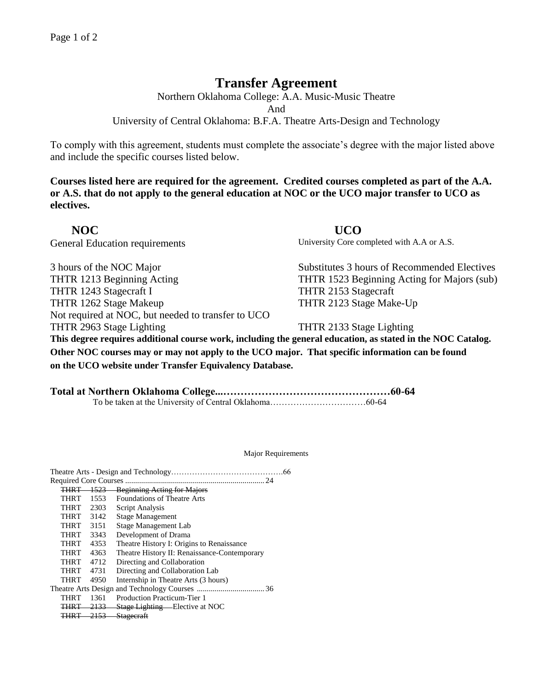## **Transfer Agreement**

Northern Oklahoma College: A.A. Music-Music Theatre And

University of Central Oklahoma: B.F.A. Theatre Arts-Design and Technology

To comply with this agreement, students must complete the associate's degree with the major listed above and include the specific courses listed below.

**Courses listed here are required for the agreement. Credited courses completed as part of the A.A. or A.S. that do not apply to the general education at NOC or the UCO major transfer to UCO as electives.**

 **NOC UCO** 

3 hours of the NOC Major Substitutes 3 hours of Recommended Electives THTR 1213 Beginning Acting THTR 1523 Beginning Acting for Majors (sub) THTR 1243 Stagecraft I THTR 2153 Stagecraft THTR 1262 Stage Makeup THTR 2123 Stage Make-Up Not required at NOC, but needed to transfer to UCO THTR 2963 Stage Lighting THTR 2133 Stage Lighting

General Education requirements University Core completed with A.A or A.S.

**This degree requires additional course work, including the general education, as stated in the NOC Catalog. Other NOC courses may or may not apply to the UCO major. That specific information can be found on the UCO website under Transfer Equivalency Database.**

**Total at Northern Oklahoma College...…………………………………………60-64** To be taken at the University of Central Oklahoma……………………………60-64

Major Requirements

| 24                   |      |                                              |  |  |
|----------------------|------|----------------------------------------------|--|--|
| <del>THRT 1523</del> |      | <b>Beginning Acting for Majors</b>           |  |  |
| THRT                 | 1553 | <b>Foundations of Theatre Arts</b>           |  |  |
| THRT                 | 2303 | Script Analysis                              |  |  |
| THRT                 | 3142 | <b>Stage Management</b>                      |  |  |
| THRT                 | 3151 | Stage Management Lab                         |  |  |
| THRT                 | 3343 | Development of Drama                         |  |  |
| THRT                 | 4353 | Theatre History I: Origins to Renaissance    |  |  |
| <b>THRT</b>          | 4363 | Theatre History II: Renaissance-Contemporary |  |  |
| THRT                 | 4712 | Directing and Collaboration                  |  |  |
| THRT                 | 4731 | Directing and Collaboration Lab              |  |  |
| THRT                 | 4950 | Internship in Theatre Arts (3 hours)         |  |  |
|                      |      |                                              |  |  |
| THRT                 | 1361 | <b>Production Practicum-Tier 1</b>           |  |  |
| THRT                 | 2133 | <b>Stage Lighting - Elective at NOC</b>      |  |  |
|                      |      | <b>THRT</b> 2153 Stagecraft                  |  |  |